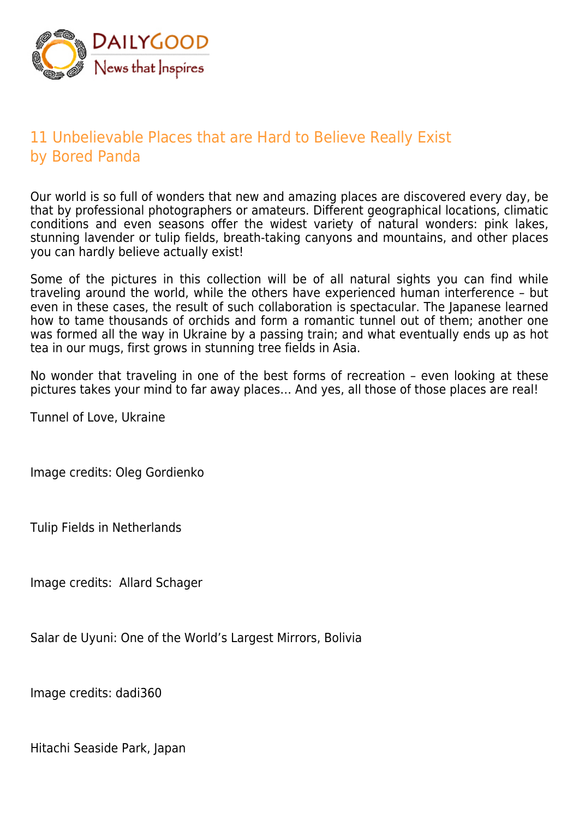

## 11 Unbelievable Places that are Hard to Believe Really Exist by Bored Panda

Our world is so full of wonders that new and amazing places are discovered every day, be that by professional photographers or amateurs. Different geographical locations, climatic conditions and even seasons offer the widest variety of natural wonders: pink lakes, stunning lavender or tulip fields, breath-taking canyons and mountains, and other places you can hardly believe actually exist!

Some of the pictures in this collection will be of all natural sights you can find while traveling around the world, while the others have experienced human interference – but even in these cases, the result of such collaboration is spectacular. The Japanese learned how to tame thousands of orchids and form a romantic tunnel out of them; another one was formed all the way in Ukraine by a passing train; and what eventually ends up as hot tea in our mugs, first grows in stunning tree fields in Asia.

No wonder that traveling in one of the best forms of recreation – even looking at these pictures takes your mind to far away places… And yes, all those of those places are real!

Tunnel of Love, Ukraine

Image credits: Oleg Gordienko

Tulip Fields in Netherlands

Image credits: Allard Schager

Salar de Uyuni: One of the World's Largest Mirrors, Bolivia

Image credits: dadi360

Hitachi Seaside Park, Japan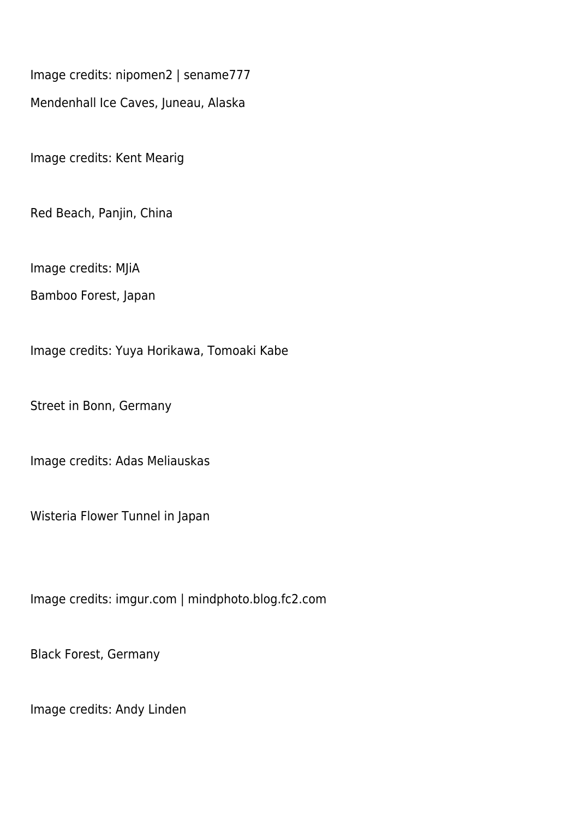Image credits: nipomen2 | sename777

Mendenhall Ice Caves, Juneau, Alaska

Image credits: Kent Mearig

Red Beach, Panjin, China

Image credits: MJiA

Bamboo Forest, Japan

Image credits: Yuya Horikawa, Tomoaki Kabe

Street in Bonn, Germany

Image credits: Adas Meliauskas

Wisteria Flower Tunnel in Japan

Image credits: imgur.com | mindphoto.blog.fc2.com

Black Forest, Germany

Image credits: Andy Linden